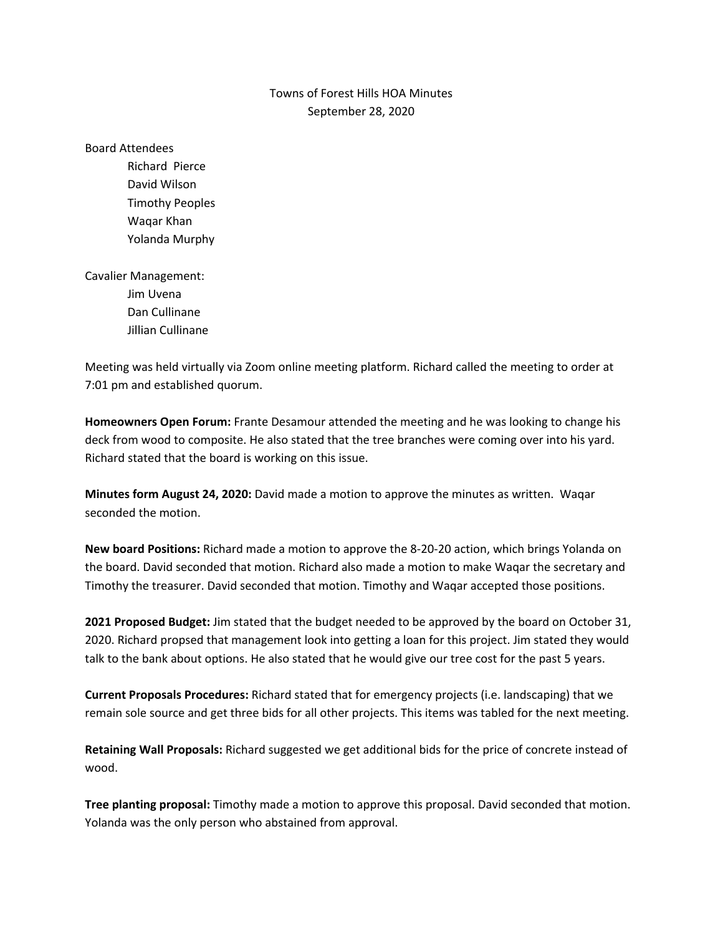## Towns of Forest Hills HOA Minutes September 28, 2020

Board Attendees Richard Pierce David Wilson Timothy Peoples Waqar Khan Yolanda Murphy Cavalier Management:

> Jim Uvena Dan Cullinane Jillian Cullinane

Meeting was held virtually via Zoom online meeting platform. Richard called the meeting to order at 7:01 pm and established quorum.

**Homeowners Open Forum:** Frante Desamour attended the meeting and he was looking to change his deck from wood to composite. He also stated that the tree branches were coming over into his yard. Richard stated that the board is working on this issue.

**Minutes form August 24, 2020:** David made a motion to approve the minutes as written. Waqar seconded the motion.

**New board Positions:** Richard made a motion to approve the 8-20-20 action, which brings Yolanda on the board. David seconded that motion. Richard also made a motion to make Waqar the secretary and Timothy the treasurer. David seconded that motion. Timothy and Waqar accepted those positions.

**2021 Proposed Budget:** Jim stated that the budget needed to be approved by the board on October 31, 2020. Richard propsed that management look into getting a loan for this project. Jim stated they would talk to the bank about options. He also stated that he would give our tree cost for the past 5 years.

**Current Proposals Procedures:** Richard stated that for emergency projects (i.e. landscaping) that we remain sole source and get three bids for all other projects. This items was tabled for the next meeting.

**Retaining Wall Proposals:** Richard suggested we get additional bids for the price of concrete instead of wood.

**Tree planting proposal:** Timothy made a motion to approve this proposal. David seconded that motion. Yolanda was the only person who abstained from approval.